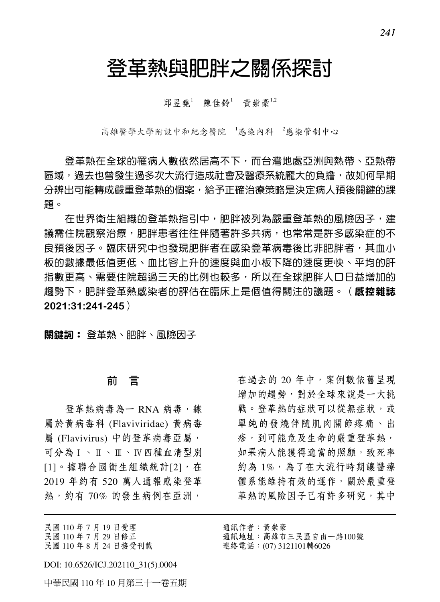## 登革熱與肥胖之關係探討

邱昱堯<sup>1</sup> 陳佳鈴<sup>1</sup> 黃崇豪<sup>1,2</sup>

高雄医学大学附设中和纪念医院 '感染内科 '感染管制中心

登革熱在全球的罹病人數依然居高不下,而台灣地處亞洲與熱帶、亞熱帶 區域,過去也曾發生過多次大流行造成社會及醫療系統龐大的負擔,故如何早期 分辨出可能轉成嚴重登革熱的個案,給予正確治療策略是決定病人預後關鍵的課 題。

在世界衛生組織的登革熱指引中,肥胖被列為嚴重登革熱的風險因子,建 議需住院觀察治療,肥胖患者往往伴隨著許多共病,也常常是許多感染症的不 良預後因子。臨床研究中也發現肥胖者在感染登革病毒後比非肥胖者,其血小 板的數據最低值更低、血比容上升的速度與血小板下降的速度更快、平均的肝 指數更高、需要住院超過三天的比例也較多,所以在全球肥胖人口日益增加的 趨勢下,肥胖登革熱感染者的評估在臨床上是個值得關注的議題。(**感控雜誌 2021:31:241-245**)

關鍵詞: 登革熱、肥胖、風險因子

#### 前 言

登革熱病毒為一 RNA 病毒, 隸 屬於黃病毒科 (Flaviviridae) 黃病毒 屬 (Flavivirus) 中的登革病毒亞屬, 可分為Ⅰ、Ⅱ、Ⅲ、Ⅳ四種血清型別 [1]。據聯合國衛生組織統計[2], 在 2019 年約有 520 萬人通報感染登革 熱,約有70%的發生病例在亞洲,

民國 110 年 7 月 19 日受理 民國 110 年 7 月 29 日修正 民國 110 年 8 月 24 日接受刊載

DOI: 10.6526/ICJ.202110\_31(5).0004

中華民國 110 年 10 月第三十一卷五期

在過去的 20 年中,案例數依舊呈現 增加的趨勢,對於全球來說是一大挑 戰。登革熱的症狀可以從無症狀,或 單純的發燒伴隨肌肉關節疼痛、出 疹,到可能危及生命的嚴重登革熱, 如果病人能獲得適當的照顧,致死率 約為 1%,為了在大流行時期讓醫療 體系能維持有效的運作,關於嚴重登 革熱的風險因子已有許多研究,其中

通訊作者:黃崇豪 通訊地址:高雄市三民區自由一路100號 連絡電話:(07) 3121101轉6026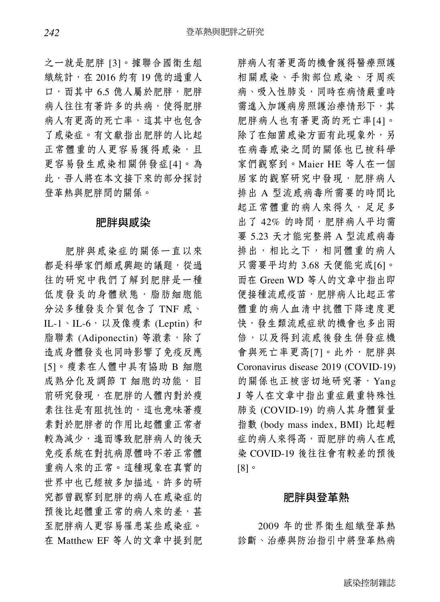之一就是肥胖 [3]。據聯合國衛生組 織統計,在 2016 約有 19 億的過重人 口,而其中 6.5 億人屬於肥胖,肥胖 病人往往有著許多的共病,使得肥胖 病人有更高的死亡率,這其中也包含 了感染症。有文獻指出肥胖的人比起 正常體重的人更容易獲得感染,且 更容易發生感染相關併發症[4]。為 此,吾人將在本文接下來的部分探討 登革熱與肥胖間的關係。

#### 肥胖與感染

肥胖與感染症的關係一直以來 都是科學家們頗感興趣的議題,從過 往的研究中我們了解到肥胖是一種 低度發炎的身體狀態,脂肪細胞能 分泌多種發炎介質包含了 TNF 感、 IL-1、IL-6,以及像瘦素 (Leptin) 和 脂聯素 (Adiponectin) 等激素,除了 造成身體發炎也同時影響了免疫反應 [5]。瘦素在人體中具有協助 B 細胞 成熟分化及調節 T 細胞的功能, 目 前研究發現,在肥胖的人體內對於瘦 素往往是有阻抗性的,這也意味著瘦 素對於肥胖者的作用比起體重正常者 較為減少,進而導致肥胖病人的後天 免疫系統在對抗病原體時不若正常體 重病人來的正常。這種現象在真實的 世界中也已經被多加描述,許多的研 究都曾觀察到肥胖的病人在感染症的 預後比起體重正常的病人來的差,甚 至肥胖病人更容易罹患某些感染症。 在 Matthew EF 等人的文章中提到肥

胖病人有著更高的機會獲得醫療照護 相關感染、手術部位感染、牙周疾 病、吸入性肺炎,同時在病情嚴重時 需進入加護病房照護治療情形下,其 肥胖病人也有著更高的死亡率[4]。 除了在細菌感染方面有此現象外,另 在病毒感染之間的關係也已被科學 家們觀察到。Maier HE 等人在一個 居家的觀察研究中發現,肥胖病人 排出 A 型流感病毒所需要的時間比 起正常體重的病人來得久,足足多 出了 42% 的時間,肥胖病人平均需 要 5.23 天才能完整將 A 型流感病毒 排出,相比之下,相同體重的病人 只需要平均約 3.68 天便能完成[6]。 而在 Green WD 等人的文章中指出即 便接種流感疫苗,肥胖病人比起正常 體重的病人血清中抗體下降速度更 快,發生類流感症狀的機會也多出兩 倍,以及得到流感後發生併發症機 會與死亡率更高[7]。此外,肥胖與 Coronavirus disease 2019 (COVID-19) 的關係也正被密切地研究著,Yang J 等人在文章中指出重症嚴重特殊性 肺炎 (COVID-19) 的病人其身體質量 指數 (body mass index, BMI) 比起輕 症的病人來得高,而肥胖的病人在感 染 COVID-19 後往往會有較差的預後 [8]。

#### 肥胖與登革熱

2009 年的世界衛生組織登革熱 診斷、治療與防治指引中將登革熱病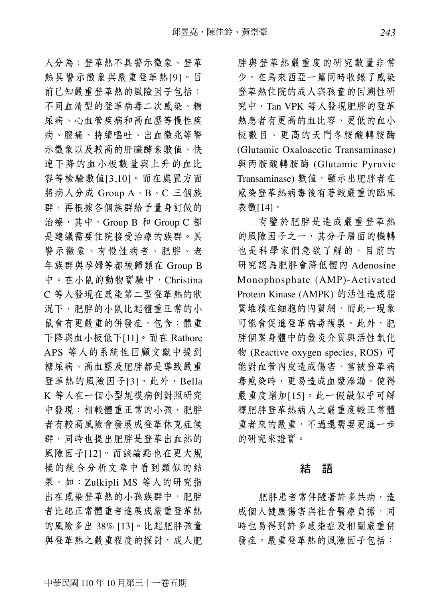人分為:登革熱不具警示徵象、登革 熱具警示徵象與嚴重登革熱[9]。目 前已知嚴重登革熱的風險因子包括: 不同血清型的登革病毒二次感染、糖 尿病、心血管疾病和高血壓等慢性疾 病、腹痛、持續嘔吐、出血徵兆等警 示徵象以及較高的肝臟酵素數值、快 速下降的血小板數量與上升的血比 容等檢驗數值[3,10]。而在處置方面 將病人分成 Group A、B、C 三個族 群,再根據各個族群給予量身訂做的 治療,其中,Group B 和 Group C 都 是建議需要住院接受治療的族群。具 警示徵象、有慢性病者、肥胖、老 年族群與孕婦等都被歸類在 Group B 中。在小鼠的動物實驗中,Christina C 等人發現在感染第二型登革熱的狀 況下,肥胖的小鼠比起體重正常的小 鼠會有更嚴重的併發症,包含:體重 下降與血小板低下[11]。而在 Rathore APS 等人的系統性回顧文獻中提到 糖尿病、高血壓及肥胖都是導致嚴重 登革熱的風險因子[3]。此外,Bella K 等人在一個小型規模病例對照研究 中發現:相較體重正常的小孩,肥胖 者有較高風險會發展成登革休克症候 群,同時也提出肥胖是登革出血熱的 風險因子[12]。而該論點也在更大規 模的統合分析文章中看到類似的結 果,如: Zulkipli MS 等人的研究指 出在感染登革熱的小孩族群中,肥胖 者比起正常體重者進展成嚴重登革熱 的風險多出 38% [13]。比起肥胖孩童 與登革熱之嚴重程度的探討,成人肥

胖與登革熱嚴重度的研究數量非常 少。在馬來西亞一篇同時收錄了感染 登革熱住院的成人與孩童的回溯性研 究中,Tan VPK 等人發現肥胖的登革 熱患者有更高的血比容、更低的血小 板數目、更高的天門冬胺酸轉胺酶 (Glutamic Oxaloacetic Transaminase) 與丙胺酸轉胺酶 (Glutamic Pyruvic Transaminase) 數值,顯示出肥胖者在 感染登革熱病毒後有著較嚴重的臨床 表徵[14]。

有鑒於肥胖是造成嚴重登革熱 的風險因子之一,其分子層面的機轉 也是科學家們急欲了解的,目前的 研究認為肥胖會降低體內 Adenosine Monophosphate (AMP)-Activated Protein Kinase (AMPK) 的活性造成脂 質堆積在細胞的內質網,而此一現象 可能會促進登革病毒複製。此外,肥 胖個案身體中的發炎介質與活性氧化 物 (Reactive oxygen species, ROS) 可 能對血管內皮造成傷害,當被登革病 **毒感染時,更易造成血漿滲漏,使得** 嚴重度增加[15]。此一假設似乎可解 釋肥胖登革熱病人之嚴重度較正常體 重者來的嚴重,不過還需要更進一步 的研究來證實。

#### 結 語

肥胖患者常伴隨著許多共病,造 成個人健康傷害與社會醫療負擔,同 時也易得到許多感染症及相關嚴重併 發症。嚴重登革熱的風險因子包括: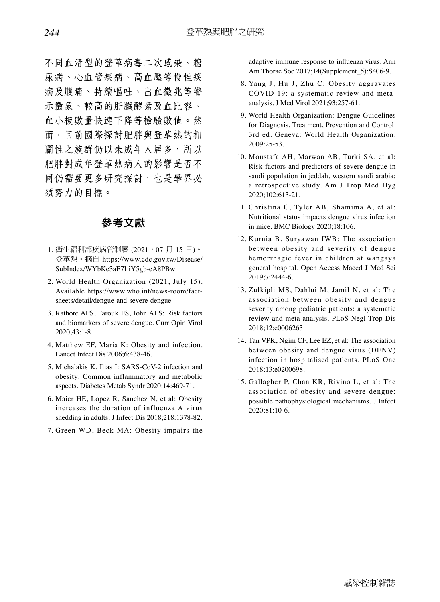不同血清型的登革病毒二次感染、糖 尿病、心血管疾病、高血壓等慢性疾 病及腹痛、持續嘔吐、出血徵兆等警 示徵象、較高的肝臟酵素及血比容、 血小板數量快速下降等檢驗數值。然 而,目前國際探討肥胖與登革熱的相 關性之族群仍以未成年人居多,所以 肥胖對成年登革熱病人的影響是否不 同仍需要更多研究探討,也是學界必 須努力的目標。

### 參考文獻

- 1. 衛生福利部疾病管制署 (2021,07 月 15 日)。 登革熱。摘自 https://www.cdc.gov.tw/Disease/ SubIndex/WYbKe3aE7LiY5gb-eA8PBw
- 2. World Health Organization (2021, July 15). Available https://www.who.int/news-room/factsheets/detail/dengue-and-severe-dengue
- 3. Rathore APS, Farouk FS, John ALS: Risk factors and biomarkers of severe dengue. Curr Opin Virol 2020;43:1-8.
- 4. Matthew EF, Maria K: Obesity and infection. Lancet Infect Dis 2006;6:438-46.
- 5. Michalakis K, Ilias I: SARS-CoV-2 infection and obesity: Common inflammatory and metabolic aspects. Diabetes Metab Syndr 2020;14:469-71.
- 6. Maier HE, Lopez R, Sanchez N, et al: Obesity increases the duration of influenza A virus shedding in adults. J Infect Dis 2018;218:1378-82.
- 7. Green WD, Beck MA: Obesity impairs the

adaptive immune response to influenza virus. Ann Am Thorac Soc 2017;14(Supplement\_5):S406-9.

- 8. Yang J, Hu J, Zhu C: Obesity aggravates COVID-19: a systematic review and metaanalysis. J Med Virol 2021;93:257-61.
- 9. World Health Organization: Dengue Guidelines for Diagnosis, Treatment, Prevention and Control. 3rd ed. Geneva: World Health Organization. 2009:25-53.
- 10. Moustafa AH, Marwan AB, Turki SA, et al: Risk factors and predictors of severe dengue in saudi population in jeddah, western saudi arabia: a retrospective study. Am J Trop Med Hyg 2020;102:613-21.
- 11. Christina C, Tyler AB, Shamima A, et al: Nutritional status impacts dengue virus infection in mice. BMC Biology 2020;18:106.
- 12. Kurnia B, Suryawan IWB: The association between obesity and severity of dengue hemorrhagic fever in children at wangaya general hospital. Open Access Maced J Med Sci 2019;7:2444-6.
- 13. Zulkipli MS, Dahlui M, Jamil N, et al: The association between obesity and dengue severity among pediatric patients: a systematic review and meta-analysis. PLoS Negl Trop Dis 2018;12:e0006263
- 14. Tan VPK, Ngim CF, Lee EZ, et al: The association between obesity and dengue virus (DENV) infection in hospitalised patients. PLoS One 2018;13:e0200698.
- 15. Gallagher P, Chan KR, Rivino L, et al: The association of obesity and severe dengue: possible pathophysiological mechanisms. J Infect 2020;81:10-6.